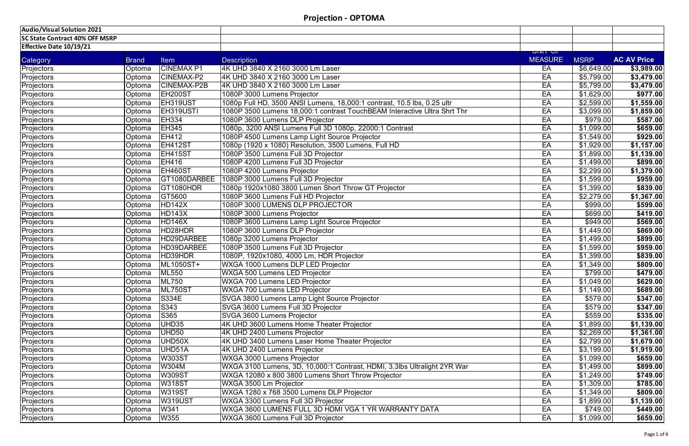| Audio/Visual Solution 2021            |              |                    |                                                                          |                             |                         |                    |
|---------------------------------------|--------------|--------------------|--------------------------------------------------------------------------|-----------------------------|-------------------------|--------------------|
| <b>SC State Contract 40% OFF MSRP</b> |              |                    |                                                                          |                             |                         |                    |
| <b>Effective Date 10/19/21</b>        |              |                    |                                                                          |                             |                         |                    |
|                                       |              |                    |                                                                          | ויט וויוט<br><b>MEASURE</b> |                         | <b>AC AV Price</b> |
| Category                              | <b>Brand</b> | <b>Item</b>        | <b>Description</b>                                                       |                             | <b>MSRP</b>             |                    |
| Projectors                            | Optoma       | <b>CINEMAX P1</b>  | 4K UHD 3840 X 2160 3000 Lm Laser                                         | EA                          | \$6,649.00              | \$3,989.00         |
| Projectors                            | Optoma       | CINEMAX-P2         | 4K UHD 3840 X 2160 3000 Lm Laser                                         | EA                          | \$5,799.00              | \$3,479.00         |
| Projectors                            | Optoma       | <b>CINEMAX-P2B</b> | 4K UHD 3840 X 2160 3000 Lm Laser                                         | EA                          | \$5,799.00              | \$3,479.00         |
| Projectors                            | Optoma       | EH200ST            | 1080P 3000 Lumens Projector                                              | EA                          | \$1,629.00              | \$977.00           |
| Projectors                            | Optoma       | EH319UST           | 1080p Full HD, 3500 ANSI Lumens, 18,000:1 contrast, 10.5 lbs, 0.25 ultr  | EA                          | \$2,599.00              | \$1,559.00         |
| Projectors                            | Optoma       | EH319USTI          | 1080P 3500 Lumens 18,000:1 contrast TouchBEAM Interactive Ultra Shrt Thr | EA                          | \$3,099.00              | \$1,859.00         |
| Projectors                            | Optoma       | <b>EH334</b>       | 1080P 3600 Lumens DLP Projector                                          | EA                          | \$979.00                | \$587.00           |
| Projectors                            | Optoma       | <b>EH345</b>       | 1080p, 3200 ANSI Lumens Full 3D 1080p, 22000:1 Contrast                  | EA                          | $\overline{$1,099.00}$  | \$659.00           |
| Projectors                            | Optoma       | <b>EH412</b>       | 1080P 4500 Lumens Lamp Light Source Projector                            | EA                          | \$1,549.00              | \$929.00           |
| Projectors                            | Optoma       | EH412ST            | 1080p (1920 x 1080) Resolution, 3500 Lumens, Full HD                     | EA                          | \$1,929.00              | \$1,157.00         |
| Projectors                            | Optoma       | EH415ST            | 1080P 3500 Lumens Full 3D Projector                                      | EA                          | \$1,899.00              | \$1,139.00         |
| Projectors                            | Optoma       | <b>EH416</b>       | 1080P 4200 Lumens Full 3D Projector                                      | EA                          | \$1,499.00              | \$899.00           |
| Projectors                            | Optoma       | EH460ST            | 1080P 4200 Lumens Projector                                              | EA                          | \$2,299.00              | \$1,379.00         |
| Projectors                            | Optoma       | GT1080DARBEE       | 1080P 3000 Lumens Full 3D Projector                                      | EA                          | \$1,599.00              | \$959.00           |
| Projectors                            | Optoma       | GT1080HDR          | 1080p 1920x1080 3800 Lumen Short Throw GT Projector                      | EA                          | \$1,399.00              | \$839.00           |
| Projectors                            | Optoma       | GT5600             | 1080P 3600 Lumens Full HD Projector                                      | EA                          | \$2,279.00              | \$1,367.00         |
| Projectors                            | Optoma       | <b>HD142X</b>      | 1080P 3000 LUMENS DLP PROJECTOR                                          | EA                          | \$999.00                | \$599.00           |
| Projectors                            | Optoma       | <b>HD143X</b>      | 1080P 3000 Lumens Projector                                              | EA                          | \$699.00                | \$419.00           |
| Projectors                            | Optoma       | <b>HD146X</b>      | 1080P 3600 Lumens Lamp Light Source Projector                            | EA                          | $\sqrt{$949.00}$        | \$569.00           |
| Projectors                            | Optoma       | HD28HDR            | 1080P 3600 Lumens DLP Projector                                          | EA                          | \$1,449.00              | \$869.00           |
| Projectors                            | Optoma       | HD29DARBEE         | 1080p 3200 Lumens Projector                                              | EA                          | $\overline{\$1,499.00}$ | \$899.00           |
| Projectors                            | Optoma       | HD39DARBEE         | 1080P 3500 Lumens Full 3D Projector                                      | EA                          | \$1,599.00              | \$959.00           |
| Projectors                            | Optoma       | HD39HDR            | 1080P, 1920x1080, 4000 Lm, HDR Projector                                 | EA                          | \$1,399.00              | \$839.00           |
| Projectors                            | Optoma       | ML1050ST+          | WXGA 1000 Lumens DLP LED Projector                                       | EA                          | \$1,349.00              | \$809.00           |
| Projectors                            | Optoma       | <b>ML550</b>       | <b>WXGA 500 Lumens LED Projector</b>                                     | EA                          | \$799.00                | \$479.00           |
| Projectors                            | Optoma       | <b>ML750</b>       | WXGA 700 Lumens LED Projector                                            | EA                          | \$1,049.00              | \$629.00           |
| Projectors                            | Optoma       | ML750ST            | WXGA 700 Lumens LED Projector                                            | EA                          | \$1,149.00              | \$689.00           |
| Projectors                            | Optoma       | S334E              | SVGA 3800 Lumens Lamp Light Source Projector                             | EA                          | \$579.00                | \$347.00           |
| Projectors                            | Optoma       | S343               | SVGA 3600 Lumens Full 3D Projector                                       | EA                          | \$579.00                | \$347.00           |
| <b>Projectors</b>                     | Optoma       | S365               | <b>SVGA 3600 Lumens Projector</b>                                        | EA                          | \$559.00                | \$335.00           |
| Projectors                            | Optoma       | UHD35              | 4K UHD 3600 Lumens Home Theater Projector                                | EA                          | $\overline{$1,899.00}$  | \$1,139.00         |
| Projectors                            | Optoma       | UHD50              | 4K UHD 2400 Lumens Projector                                             | EA                          | \$2,269.00              | \$1,361.00         |
| Projectors                            | Optoma       | UHD50X             | 4K UHD 3400 Lumens Laser Home Theater Projector                          | EA                          | \$2,799.00              | \$1,679.00         |
| Projectors                            | Optoma       | UHD51A             | 4K UHD 2400 Lumens Projector                                             | EA                          | \$3,199.00              | \$1,919.00         |
| Projectors                            | Optoma       | <b>W303ST</b>      | WXGA 3000 Lumens Projector                                               | EA                          | \$1,099.00              | \$659.00           |
| Projectors                            | Optoma       | W304M              | WXGA 3100 Lumens, 3D, 10,000:1 Contrast, HDMI, 3.3lbs Ultralight 2YR War | EA                          | \$1,499.00              | \$899.00           |
| Projectors                            | Optoma       | <b>W309ST</b>      | WXGA 12080 x 800 3800 Lumens Short Throw Projector                       | EA                          | \$1,249.00              | \$749.00           |
| Projectors                            | Optoma       | <b>W318ST</b>      | WXGA 3500 Lm Projector                                                   | EA                          | \$1,309.00              | \$785.00           |
| Projectors                            | Optoma       | <b>W319ST</b>      | WXGA 1280 x 768 3500 Lumens DLP Projector                                | EA                          | \$1,349.00              | \$809.00           |
| Projectors                            | Optoma       | <b>W319UST</b>     | WXGA 3300 Lumens Full 3D Projector                                       | EA                          | \$1,899.00              | \$1,139.00         |
| Projectors                            | Optoma       | W341               | WXGA 3600 LUMENS FULL 3D HDMI VGA 1 YR WARRANTY DATA                     | EA                          | \$749.00                | \$449.00           |
| Projectors                            | Optoma       | W355               | WXGA 3600 Lumens Full 3D Projector                                       | EA                          | \$1,099.00              | \$659.00           |
|                                       |              |                    |                                                                          |                             |                         |                    |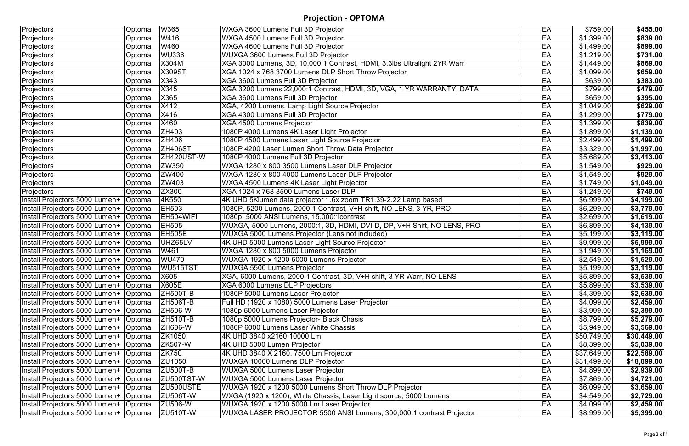**Projection - OPTOMA**

| Projectors                              | Optoma        | W365            | WXGA 3600 Lumens Full 3D Projector                                       | EA | \$759.00            | \$455.00                             |
|-----------------------------------------|---------------|-----------------|--------------------------------------------------------------------------|----|---------------------|--------------------------------------|
| Projectors                              | Optoma        | W416            | WXGA 4500 Lumens Full 3D Projector                                       | EA | \$1,399.00          | \$839.00                             |
| Projectors                              | Optoma        | W460            | WXGA 4600 Lumens Full 3D Projector                                       | EA | \$1,499.00          | \$899.00                             |
| Projectors                              | Optoma        | <b>WU336</b>    | WUXGA 3600 Lumens Full 3D Projector                                      | EA | \$1,219.00          | \$731.00                             |
| Projectors                              | Optoma        | X304M           | XGA 3000 Lumens, 3D, 10,000:1 Contrast, HDMI, 3.3lbs Ultralight 2YR Warr | EA | \$1,449.00          | \$869.00                             |
| Projectors                              | Optoma        | <b>X309ST</b>   | XGA 1024 x 768 3700 Lumens DLP Short Throw Projector                     | EA | \$1,099.00          | \$659.00                             |
| Projectors                              | Optoma        | X343            | XGA 3600 Lumens Full 3D Projector                                        | EA | \$639.00            | \$383.00                             |
| Projectors                              | Optoma        | X345            | XGA 3200 Lumens 22,000:1 Contrast, HDMI, 3D, VGA, 1 YR WARRANTY, DATA    | EA | \$799.00            | \$479.00                             |
| Projectors                              | Optoma        | X365            | XGA 3600 Lumens Full 3D Projector                                        | EA | \$659.00            | \$395.00                             |
| Projectors                              | Optoma        | X412            | XGA, 4200 Lumens, Lamp Light Source Projector                            | EA | \$1,049.00          | \$629.00                             |
| Projectors                              | Optoma        | X416            | XGA 4300 Lumens Full 3D Projector                                        | EA | \$1,299.00          | \$779.00                             |
| Projectors                              | Optoma        | X460            | <b>XGA 4500 Lumens Projector</b>                                         | EA | \$1,399.00          | \$839.00                             |
| <b>Projectors</b>                       | Optoma        | <b>ZH403</b>    | 1080P 4000 Lumens 4K Laser Light Projector                               | EA | $\sqrt{1,899.00}$   | \$1,139.00                           |
| Projectors                              | Optoma        | <b>ZH406</b>    | 1080P 4500 Lumens Laser Light Source Projector                           | EA | \$2,499.00          | \$1,499.00                           |
| Projectors                              | Optoma        | <b>ZH406ST</b>  | 1080P 4200 Laser Lumen Short Throw Data Projector                        | EA | \$3,329.00          | \$1,997.00                           |
| Projectors                              | Optoma        | ZH420UST-W      | 1080P 4000 Lumens Full 3D Projector                                      | EA | \$5,689.00          | \$3,413.00                           |
| Projectors                              | Optoma        | ZW350           | WXGA 1280 x 800 3500 Lumens Laser DLP Projector                          | EA | \$1,549.00          | \$929.00                             |
| Projectors                              | Optoma        | ZW400           | WXGA 1280 x 800 4000 Lumens Laser DLP Projector                          | EA | \$1,549.00          | \$929.00                             |
| Projectors                              | Optoma        | ZW403           | WXGA 4500 Lumens 4K Laser Light Projector                                | EA | \$1,749.00          | \$1,049.00                           |
| Projectors                              | Optoma        | ZX300           | XGA 1024 x 768 3500 Lumens Laser DLP                                     | EA | \$1,249.00          | \$749.00                             |
| Install Projectors 5000 Lumen+  Optoma  |               | 4K550           | 4K UHD 5Klumen data projector 1.6x zoom TR1.39-2.22 Lamp based           | EA | \$6,999.00          | \$4,199.00                           |
| Install Projectors 5000 Lumen+  Optoma  |               | <b>EH503</b>    | 1080P, 5200 Lumens, 2000:1 Contrast, V+H shift, NO LENS, 3 YR, PRO       | EA | \$6,299.00          | \$3,779.00                           |
| Install Projectors 5000 Lumen+  Optoma  |               | EH504WIFI       | 1080p, 5000 ANSI Lumens, 15,000:1 contrast                               | EA | \$2,699.00          | \$1,619.00                           |
| Install Projectors 5000 Lumen+  Optoma  |               | <b>EH505</b>    | WUXGA, 5000 Lumens, 2000:1, 3D, HDMI, DVI-D, DP, V+H Shift, NO LENS, PRO | EA | \$6,899.00          |                                      |
|                                         |               | EH505E          |                                                                          | EA |                     | \$4,139.00<br>$\overline{$3,119.00}$ |
| Install Projectors 5000 Lumen+  Optoma  |               |                 | WUXGA 5000 Lumens Projector (Lens not included)                          | EA | \$5,199.00          |                                      |
| Install Projectors 5000 Lumen+  Optoma  |               | UHZ65LV         | 4K UHD 5000 Lumens Laser Light Source Projector                          |    | \$9,999.00          | \$5,999.00                           |
| Install Projectors 5000 Lumen+  Optoma  |               | W461            | WXGA 1280 x 800 5000 Lumens Projector                                    | EA | \$1,949.00          | \$1,169.00                           |
| Install Projectors 5000 Lumen+ Optoma   |               | <b>WU470</b>    | WUXGA 1920 x 1200 5000 Lumens Projector                                  | EA | \$2,549.00          | \$1,529.00                           |
| Install Projectors 5000 Lumen+   Optoma |               | WU515TST        | <b>WUXGA 5500 Lumens Projector</b>                                       | EA | \$5,199.00          | \$3,119.00                           |
| Install Projectors 5000 Lumen+ Optoma   |               | X605            | XGA, 6000 Lumens, 2000:1 Contrast, 3D, V+H shift, 3 YR Warr, NO LENS     | EA | \$5,899.00          | \$3,539.00                           |
| Install Projectors 5000 Lumen+   Optoma |               | <b>X605E</b>    | XGA 6000 Lumens DLP Projectors                                           | EA | \$5,899.00          | \$3,539.00                           |
| Install Projectors 5000 Lumen+   Optoma |               | <b>ZH500T-B</b> | 1080P 5000 Lumens Laser Projector                                        | EA | \$4,399.00          | \$2,639.00                           |
| Install Projectors 5000 Lumen+   Optoma |               | <b>ZH506T-B</b> | Full HD (1920 x 1080) 5000 Lumens Laser Projector                        | EA | \$4,099.00          | \$2,459.00                           |
| Install Projectors 5000 Lumen+          | <b>Optoma</b> | <b>ZH506-W</b>  | 1080p 5000 Lumens Laser Projector                                        | EA | \$3,999.00          | \$2,399.00                           |
| Install Projectors 5000 Lumen+          | <b>Optoma</b> | <b>ZH510T-B</b> | 1080p 5000 Lumens Projector- Black Chasis                                | EA | \$8,799.00          | \$5,279.00                           |
| Install Projectors 5000 Lumen+  Optoma  |               | <b>ZH606-W</b>  | 1080P 6000 Lumens Laser White Chassis                                    | EA | \$5,949.00          | \$3,569.00                           |
| Install Projectors 5000 Lumen+          | <b>Optoma</b> | ZK1050          | 4K UHD 3840 x2160 10000 Lm                                               | EA | \$50,749.00         | \$30,449.00                          |
| Install Projectors 5000 Lumen+          | <b>Optoma</b> | <b>ZK507-W</b>  | 4K UHD 5000 Lumen Projector                                              | EA | \$8,399.00          | \$5,039.00                           |
| Install Projectors 5000 Lumen+          | Optoma        | <b>ZK750</b>    | 4K UHD 3840 X 2160, 7500 Lm Projector                                    | EA | \$37,649.00         | $\sqrt{22,589.00}$                   |
| Install Projectors 5000 Lumen+  Optoma  |               | ZU1050          | WUXGA 10000 Lumens DLP Projector                                         | EA | $\sqrt{331,499.00}$ | \$18,899.00                          |
| Install Projectors 5000 Lumen+          | <b>Optoma</b> | <b>ZU500T-B</b> | <b>WUXGA 5000 Lumens Laser Projector</b>                                 | EA | \$4,899.00          | \$2,939.00                           |
| Install Projectors 5000 Lumen+  Optoma  |               | ZU500TST-W      | <b>WUXGA 5000 Lumens Laser Projector</b>                                 | EA | \$7,869.00          | \$4,721.00                           |
| Install Projectors 5000 Lumen+          | <b>Optoma</b> | ZU500USTE       | WUXGA 1920 x 1200 5000 Lumens Short Throw DLP Projector                  | EA | \$6,099.00          | \$3,659.00                           |
| Install Projectors 5000 Lumen+  Optoma  |               | <b>ZU506T-W</b> | WXGA (1920 x 1200), White Chassis, Laser Light source, 5000 Lumens       | EA | \$4,549.00          | \$2,729.00                           |
| Install Projectors 5000 Lumen+   Optoma |               | <b>ZU506-W</b>  | WUXGA 1920 x 1200 5000 Lm Laser Projector                                | EA | \$4,099.00          | \$2,459.00                           |
| Install Projectors 5000 Lumen+   Optoma |               | <b>ZU510T-W</b> | WUXGA LASER PROJECTOR 5500 ANSI Lumens, 300,000:1 contrast Projector     | EA | \$8,999.00          | \$5,399.00                           |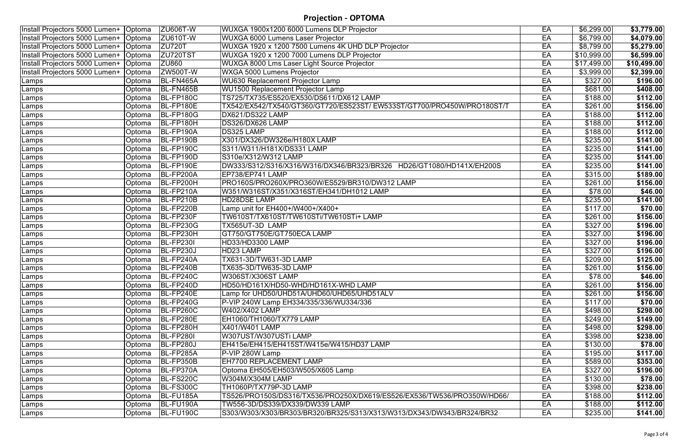## **Projection - OPTOMA**

| Install Projectors 5000 Lumen+   Optoma |               | <b>ZU606T-W</b>  | WUXGA 1900x1200 6000 Lumens DLP Projector                               | EA | \$6,299.00       | \$3,779.00         |
|-----------------------------------------|---------------|------------------|-------------------------------------------------------------------------|----|------------------|--------------------|
| Install Projectors 5000 Lumen+   Optoma |               | <b>ZU610T-W</b>  | <b>WUXGA 6000 Lumens Laser Projector</b>                                | EA | \$6,799.00       | \$4,079.00         |
| Install Projectors 5000 Lumen+   Optoma |               | <b>ZU720T</b>    | WUXGA 1920 x 1200 7500 Lumens 4K UHD DLP Projector                      | EA | \$8,799.00       | \$5,279.00         |
| Install Projectors 5000 Lumen+   Optoma |               | ZU720TST         | WUXGA 1920 x 1200 7000 Lumens DLP Projector                             | EA | \$10,999.00      | \$6,599.00         |
| Install Projectors 5000 Lumen+   Optoma |               | <b>ZU860</b>     | WUXGA 8000 Lms Laser Light Source Projector                             | EA | \$17,499.00      | $\sqrt{10,499.00}$ |
| Install Projectors 5000 Lumen+          | <b>Optoma</b> | <b>ZW500T-W</b>  | WXGA 5000 Lumens Projector                                              | EA | \$3,999.00       | \$2,399.00         |
| Lamps                                   | Optoma        | BL-FN465A        | <b>WU630 Replacement Projector Lamp</b>                                 | EA | \$327.00         | \$196.00           |
| Lamps                                   | Optoma        | BL-FN465B        | <b>WU1500 Replacement Projector Lamp</b>                                | EA | \$681.00         | \$408.00           |
| Lamps                                   | Optoma        | BL-FP180C        | TS725/TX735/ES520/EX530/DS611/DX612 LAMP                                | EA | \$188.00         | \$112.00           |
| Lamps                                   | Optoma        | BL-FP180E        | TX542/EX542/TX540/GT360/GT720/ES523ST/EW533ST/GT700/PRO450W/PRO180ST/T  | EA | \$261.00         | \$156.00           |
| Lamps                                   | Optoma        | <b>BL-FP180G</b> | DX621/DS322 LAMP                                                        | EA | \$188.00         | \$112.00           |
| Lamps                                   | Optoma        | BL-FP180H        | DS326/DX626 LAMP                                                        | EA | \$188.00         | \$112.00           |
| Lamps                                   | Optoma        | BL-FP190A        | <b>DS325 LAMP</b>                                                       | EA | \$188.00         | \$112.00           |
| Lamps                                   | Optoma        | BL-FP190B        | X301/DX326/DW326e/H180X LAMP                                            | EA | \$235.00         | \$141.00           |
| Lamps                                   | Optoma        | BL-FP190C        | S311/W311/H181X/DS331 LAMP                                              | EA | \$235.00         | \$141.00           |
| Lamps                                   | Optoma        | BL-FP190D        | S310e/X312/W312 LAMP                                                    | EA | \$235.00         | \$141.00           |
| Lamps                                   | Optoma        | BL-FP190E        | DW333/S312/S316/X316/W316/DX346/BR323/BR326 HD26/GT1080/HD141X/EH200S   | EA | \$235.00         | \$141.00           |
| Lamps                                   | Optoma        | BL-FP200A        | EP738/EP741 LAMP                                                        | EA | \$315.00         | \$189.00           |
| Lamps                                   | Optoma        | BL-FP200H        | PRO160S/PRO260X/PRO360W/ES529/BR310/DW312 LAMP                          | EA | \$261.00         | \$156.00           |
| Lamps                                   | Optoma        | BL-FP210A        | W351/W316ST/X351/X316ST/EH341/DH1012 LAMP                               | EA | \$78.00          | \$46.00            |
| Lamps                                   | Optoma        | BL-FP210B        | <b>HD28DSE LAMP</b>                                                     | EA | \$235.00         | \$141.00           |
| Lamps                                   | Optoma        | <b>BL-FP220B</b> | Lamp unit for EH400+/W400+/X400+                                        | EA | \$117.00         | \$70.00            |
| Lamps                                   | Optoma        | BL-FP230F        | TW610ST/TX610ST/TW610STi/TW610STi+LAMP                                  | EA | \$261.00         | \$156.00           |
| Lamps                                   | Optoma        | BL-FP230G        | TX565UT-3D LAMP                                                         | EA | \$327.00         | \$196.00           |
| Lamps                                   | Optoma        | BL-FP230H        | GT750/GT750E/GT750ECA LAMP                                              | EA | \$327.00         | \$196.00           |
| Lamps                                   | Optoma        | <b>BL-FP2301</b> | HD33/HD3300 LAMP                                                        | EA | $\sqrt{$327.00}$ | \$196.00           |
| Lamps                                   | Optoma        | BL-FP230J        | HD23 LAMP                                                               | EA | \$327.00         | \$196.00           |
| Lamps                                   | Optoma        | $BL$ -FP240A     | TX631-3D/TW631-3D LAMP                                                  | EA | \$209.00         | \$125.00           |
| Lamps                                   | Optoma        | BL-FP240B        | TX635-3D/TW635-3D LAMP                                                  | EA | \$261.00         | \$156.00           |
| Lamps                                   |               | Optoma BL-FP240C | W306ST/X306ST LAMP                                                      | EA | \$78.00          | \$46.00            |
| Lamps                                   | Optoma        | BL-FP240D        | HD50/HD161X/HD50-WHD/HD161X-WHD LAMP                                    | EA | \$261.00         | \$156.00           |
| Lamps                                   | Optoma        | BL-FP240E        | Lamp for UHD50/UHD51A/UHD60/UHD65/UHD51ALV                              | EA | \$261.00         | \$156.00           |
| Lamps                                   | Optoma        | $ BL$ -FP240G    | P-VIP 240W Lamp EH334/335/336/WU334/336                                 | EA | \$117.00         | \$70.00            |
| Lamps                                   | Optoma        | BL-FP260C        | W402/X402 LAMP                                                          | EA | \$498.00         | \$298.00           |
| Lamps                                   | Optoma        | BL-FP280E        | EH1060/TH1060/TX779 LAMP                                                | EA | \$249.00         | \$149.00           |
| Lamps                                   | Optoma        | BL-FP280H        | X401/W401 LAMP                                                          | EA | \$498.00         | \$298.00           |
| Lamps                                   | Optoma        | <b>BL-FP2801</b> | W307UST/W307USTi LAMP                                                   | EA | \$398.00         | \$238.00           |
| Lamps                                   | Optoma        | BL-FP280J        | EH415e/EH415/EH415ST/W415e/W415/HD37 LAMP                               | EA | \$130.00         | \$78.00            |
| Lamps                                   | Optoma        | BL-FP285A        | P-VIP 280W Lamp                                                         | EA | \$195.00         | \$117.00           |
| Lamps                                   | Optoma        | BL-FP350B        | EH7700 REPLACEMENT LAMP                                                 | EA | \$589.00         | \$353.00           |
| Lamps                                   | Optoma        | BL-FP370A        | Optoma EH505/EH503/W505/X605 Lamp                                       | EA | \$327.00         | \$196.00           |
| Lamps                                   | Optoma        | <b>BL-FS220C</b> | W304M/X304M LAMP                                                        | EA | \$130.00         | \$78.00            |
| Lamps                                   | Optoma        | BL-FS300C        | TH1060P/TX779P-3D LAMP                                                  | EA | \$398.00         | \$238.00           |
| Lamps                                   | Optoma        | BL-FU185A        | TS526/PRO150S/DS316/TX536/PRO250X/DX619/ES526/EX536/TW536/PRO350W/HD66/ | EA | \$188.00         | \$112.00           |
| Lamps                                   | Optoma        | BL-FU190A        | TW556-3D/DS339/DX339/DW339 LAMP                                         | EA | \$188.00         | \$112.00           |
| Lamps                                   | Optoma        | <b>BL-FU190C</b> | S303/W303/X303/BR303/BR320/BR325/S313/X313/W313/DX343/DW343/BR324/BR32  | EA | \$235.00         | \$141.00           |